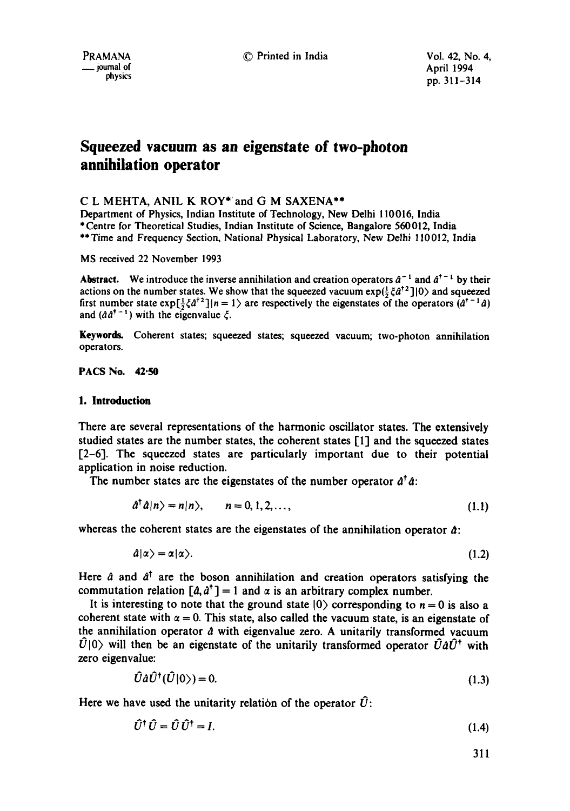PRAMANA  $\qquad \qquad \bullet$  Printed in India  $\qquad \qquad \bullet$  Vol. 42, No. 4,  $\qquad \qquad \bullet$  iournal of Anril 1994  $\frac{1}{2}$  and  $\frac{1}{2}$  and  $\frac{1}{2}$  and  $\frac{1}{2}$  and  $\frac{1}{2}$  and  $\frac{1}{2}$  and  $\frac{1}{2}$  and  $\frac{1}{2}$  and  $\frac{1}{2}$  and  $\frac{1}{2}$  and  $\frac{1}{2}$  and  $\frac{1}{2}$  and  $\frac{1}{2}$  and  $\frac{1}{2}$  and  $\frac{1}{2}$  and  $\frac{1}{2}$  a physics pp. 311-314

# **Squeezed vacuum as an eigenstate of two-photon annihilation operator**

# C L MEHTA, ANIL K ROY\* and G M SAXENA\*\*

Department of Physics, Indian Institute of Technology, New Delhi 110016, India \* Centre for Theoretical Studies, Indian Institute of Science, Bangalore 560 012, India \*\* Time and Frequency Section, National Physical Laboratory, New Delhi 110012, India

MS received 22 November 1993

Abstract. We introduce the inverse annihilation and creation operators  $a^{-1}$  and  $a^{\dagger - 1}$  by their actions on the number states. We show that the squeezed vacuum  $exp(\frac{1}{2} \xi a^{\dagger 2} ]$  o and squeezed first number state  $exp[\frac{1}{2}\xi \hat{d}^{\dagger 2}]\vert n=1\rangle$  are respectively the eigenstates of the operators  $(\hat{d}^{\dagger -1}\hat{d})$ and  $(\hat{a} \hat{a}^{\dagger - 1})$  with the eigenvalue  $\xi$ .

Keywords. Coherent states; squeezed states; squeezed vacuum; two-photon annihilation operators.

**PACS No. 42.50** 

#### **1. Introduction**

There are several representations of the harmonic oscillator states. The extensively studied states are the number states, the coherent states  $[1]$  and the squeezed states  $[2-6]$ . The squeezed states are particularly important due to their potential application in noise reduction.

The number states are the eigenstates of the number operator  $\hat{a}^{\dagger} \hat{a}$ :

$$
\hat{a}^{\dagger} \hat{a} |n\rangle = n |n\rangle, \qquad n = 0, 1, 2, \dots,
$$
\n(1.1)

whereas the coherent states are the eigenstates of the annihilation operator  $\hat{a}$ :

 $\hat{a}|\alpha\rangle = \alpha|\alpha\rangle.$  (1.2)

Here  $\hat{a}$  and  $\hat{a}^{\dagger}$  are the boson annihilation and creation operators satisfying the commutation relation  $\left[\hat{a}, \hat{a}^{\dagger}\right] = 1$  and  $\alpha$  is an arbitrary complex number.

It is interesting to note that the ground state  $|0\rangle$  corresponding to  $n = 0$  is also a coherent state with  $\alpha = 0$ . This state, also called the vacuum state, is an eigenstate of the annihilation operator  $\hat{a}$  with eigenvalue zero. A unitarily transformed vacuum  $\hat{U}|0\rangle$  will then be an eigenstate of the unitarily transformed operator  $\hat{U}a\hat{U}^{\dagger}$  with zero eigenvalue:

$$
\hat{U}\hat{a}\hat{U}^{\dagger}(\hat{U}|0\rangle) = 0. \tag{1.3}
$$

Here we have used the unitarity relation of the operator  $\hat{U}$ :

$$
\hat{U}^{\dagger}\,\hat{U} = \hat{U}\,\hat{U}^{\dagger} = I. \tag{1.4}
$$

311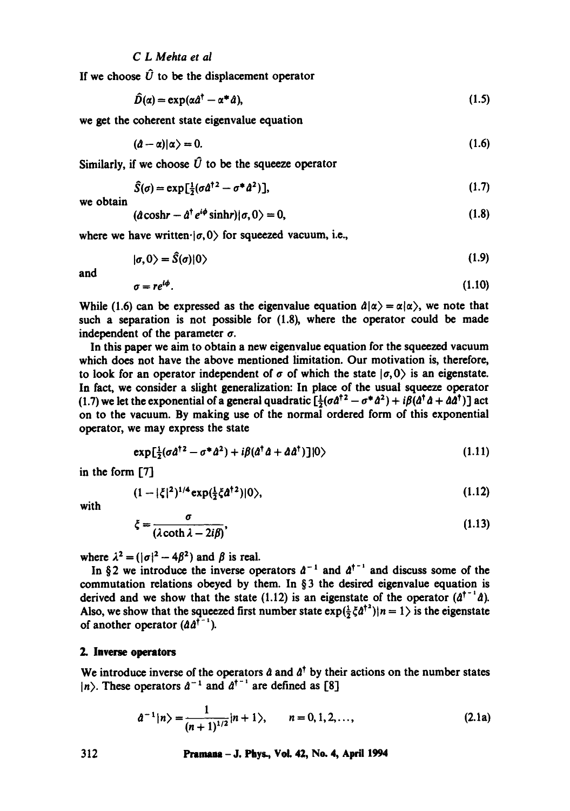### *C L Mehta et al*

If we choose  $\hat{U}$  to be the displacement operator

$$
\hat{D}(\alpha) = \exp(\alpha \hat{a}^{\dagger} - \alpha^* \hat{a}), \qquad (1.5)
$$

we get the coherent state eigenvalue equation

$$
(\hat{a}-\alpha)|\alpha\rangle=0.\tag{1.6}
$$

Similarly, if we choose  $\hat{U}$  to be the squeeze operator

$$
\widehat{S}(\sigma) = \exp\left[\frac{1}{2}(\sigma d^{\dagger 2} - \sigma^* d^2)\right],\tag{1.7}
$$

we obtain

$$
(\hat{a}\cosh r - \hat{a}^\dagger e^{i\phi}\sinh r)(\sigma, 0) = 0, \qquad (1.8)
$$

where we have written  $|\sigma, 0\rangle$  for squeezed vacuum, i.e.,

$$
|\sigma,0\rangle = \tilde{S}(\sigma)|0\rangle \tag{1.9}
$$

and

$$
\sigma = re^{i\phi}.\tag{1.10}
$$

While (1.6) can be expressed as the eigenvalue equation  $\hat{a}|\alpha\rangle = \alpha|\alpha\rangle$ , we note that such a separation is not possible for (1.8), where the operator could be made independent of the parameter  $\sigma$ .

In this paper we aim to obtain a new eigenvalue equation for the squeezed vacuum which does not have the above mentioned limitation. Our motivation is, therefore, to look for an operator independent of  $\sigma$  of which the state  $|\sigma, 0\rangle$  is an eigenstate. In fact, we consider a slight generalization: In place of the usual squeeze operator (1.7) we let the exponential of a general quadratic  $\left[\frac{1}{2}(\sigma d^{\dagger 2} - \sigma^* d^2) + i\beta(d^{\dagger} d + d d^{\dagger})\right]$  act on to the vacuum. By making use of the normal ordered form of this exponential operator, we may express the state

$$
\exp\left[\frac{1}{2}(\sigma\hat{a}^{\dagger 2}-\sigma^*\hat{a}^2)+i\beta(\hat{a}^{\dagger}\hat{a}+\hat{a}\hat{a}^{\dagger})\right]|0\rangle \tag{1.11}
$$

in the form [7]

$$
(1-|\xi|^2)^{1/4} \exp(\tfrac{1}{2}\xi \hat{a}^{\dagger 2})|0\rangle, \tag{1.12}
$$

with

$$
\xi = \frac{\sigma}{(\lambda \coth \lambda - 2i\beta)},\tag{1.13}
$$

where  $\lambda^2 = (|\sigma|^2 - 4\beta^2)$  and  $\beta$  is real.

In §2 we introduce the inverse operators  $d^{-1}$  and  $d^{\dagger^{-1}}$  and discuss some of the commutation relations obeyed by them. In § 3 the desired eigenvalue equation is derived and we show that the state (1.12) is an eigenstate of the operator  $(a^{\dagger})^2$ . Also, we show that the squeezed first number state  $exp(\frac{1}{2}\zeta \hat{a}^{\dagger 2})|n = 1$  is the eigenstate of another operator  $(\hat{a} \hat{a}^{\dagger - 1})$ .

#### **2. Inverse operators**

We introduce inverse of the operators  $\hat{a}$  and  $\hat{a}^{\dagger}$  by their actions on the number states  $|n\rangle$ . These operators  $\hat{a}^{-1}$  and  $\hat{a}^{\dagger}$  are defined as [8]

$$
\hat{a}^{-1}|n\rangle = \frac{1}{(n+1)^{1/2}}|n+1\rangle, \qquad n = 0, 1, 2, ..., \qquad (2.1a)
$$

312 Pramaaa- J. Phys., VoL 42, No. 4, April 1994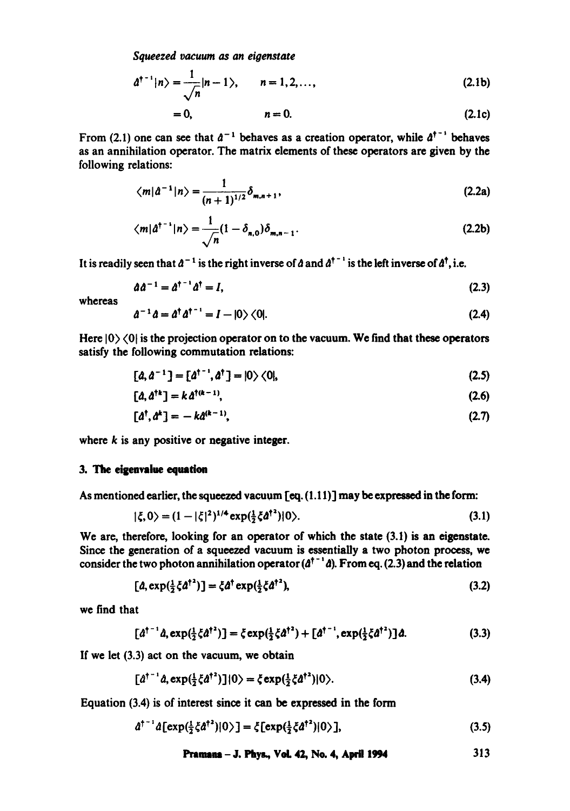*Squeezed vacuum as an eigenstate* 

$$
d^{\dagger^{-1}}|n\rangle = \frac{1}{\sqrt{n}}|n-1\rangle, \qquad n = 1, 2, ..., \qquad (2.1b)
$$

$$
= 0, \qquad \qquad n = 0. \tag{2.1c}
$$

From (2.1) one can see that  $d^{-1}$  behaves as a creation operator, while  $d^{\dagger - 1}$  behaves as an annihilation operator. The matrix elements of these operators are given by the following relations:

$$
\langle m|\hat{a}^{-1}|n\rangle = \frac{1}{(n+1)^{1/2}}\delta_{m,n+1},
$$
\n(2.2a)

$$
\langle m|\hat{a}^{\dagger^{-1}}|n\rangle = \frac{1}{\sqrt{n}}(1-\delta_{n,0})\delta_{m,n-1}.
$$
 (2.2b)

It is readily seen that  $a^{-1}$  is the right inverse of  $a$  and  $a^{+1}$  is the left inverse of  $a^{+}$ , i.e.

$$
\partial \hat{d}^{-1} = \hat{d}^{\dagger - 1} \hat{d}^{\dagger} = I,\tag{2.3}
$$

whereas

$$
\hat{a}^{-1}\hat{a} = \hat{a}^{\dagger}\hat{a}^{\dagger}^{-1} = I - |0\rangle\langle 0|.
$$
 (2.4)

Here  $|0\rangle\langle 0|$  is the projection operator on to the vacuum. We find that these operators satisfy the following commutation relations:

$$
[a, a^{-1}] = [a^{\dagger^{-1}}, a^{\dagger}] = |0\rangle\langle 0|, \qquad (2.5)
$$

$$
[\hat{a}, \hat{a}^{\dagger k}] = k \hat{a}^{\dagger (k-1)}, \tag{2.6}
$$

$$
[a^{\dagger}, a^{\dagger}] = -k a^{(k-1)}, \tag{2.7}
$$

where  $k$  is any positive or negative integer.

#### 3. The eigenvalue equation

As mentioned earlier, the squeezed vacuum [eq. (1.I 1)] may be expressed in the form:

$$
|\xi,0\rangle = (1-|\xi|^2)^{1/4} \exp(\frac{1}{2}\xi \hat{a}^{\dagger 2})|0\rangle. \tag{3.1}
$$

We are, therefore, looking for an operator of which the state (3.1) is an eigenstate. Since the generation of a squeezed vacuum is essentially a two photon process, we consider the two photon annihilation operator ( $d^{\dagger}$   $d$ ). From eq. (2.3) and the relation

$$
[\hat{a}, \exp(\frac{1}{2}\xi \hat{a}^{\dagger 2})] = \xi \hat{a}^{\dagger} \exp(\frac{1}{2}\xi \hat{a}^{\dagger 2}), \tag{3.2}
$$

we find that

$$
[a^{\dagger^{-1}}a,\exp(\frac{1}{2}\xi a^{\dagger^2})]=\xi \exp(\frac{1}{2}\xi a^{\dagger^2})+ [a^{\dagger^{-1}},\exp(\frac{1}{2}\xi a^{\dagger^2})]a.
$$
 (3.3)

If we let (3.3) act on the vacuum, we obtain

$$
[a^{\dagger^{-1}}a,\exp(\frac{1}{2}\zeta a^{\dagger^2})](0)=\zeta \exp(\frac{1}{2}\zeta a^{\dagger^2})|0\rangle. \tag{3.4}
$$

Equation (3.4) is of interest since it can be expressed in the form

$$
\hat{a}^{\dagger^{-1}}\hat{a}[\exp(\frac{1}{2}\xi\hat{a}^{\dagger^{2}})|0\rangle] = \xi[\exp(\frac{1}{2}\xi\hat{a}^{\dagger^{2}})|0\rangle],
$$
\n(3.5)

**Pmrasms - J. Pity&, VeIL 42, No. 4, April 1994**  313